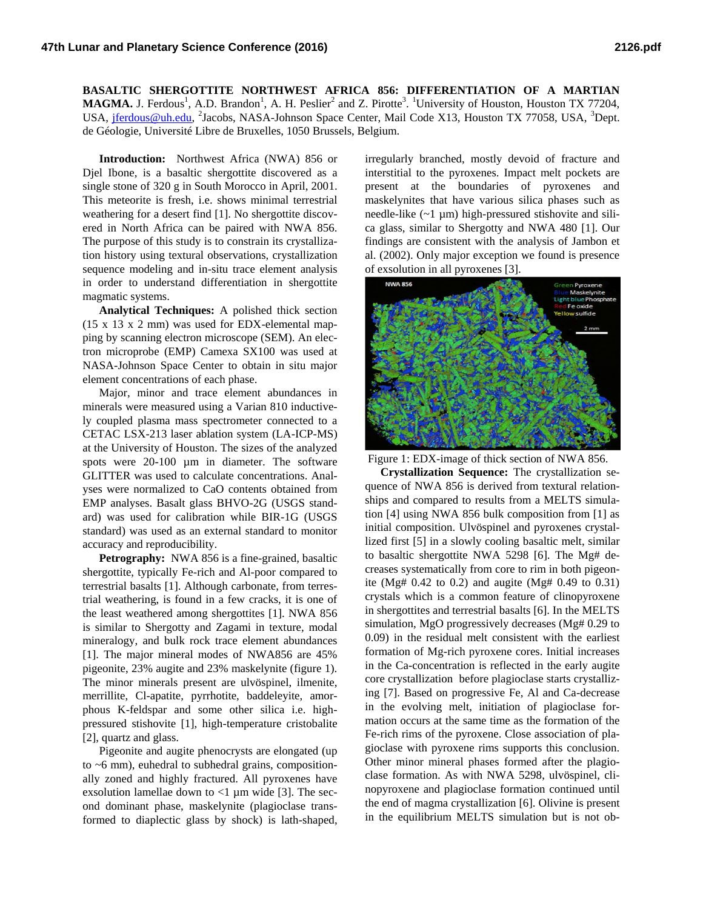**BASALTIC SHERGOTTITE NORTHWEST AFRICA 856: DIFFERENTIATION OF A MARTIAN**  MAGMA. J. Ferdous<sup>1</sup>, A.D. Brandon<sup>1</sup>, A. H. Peslier<sup>2</sup> and Z. Pirotte<sup>3</sup>. <sup>1</sup>University of Houston, Houston TX 77204, USA, <u>jferdous@uh.edu</u>, <sup>2</sup>Jacobs, NASA-Johnson Space Center, Mail Code X13, Houston TX 77058, USA, <sup>3</sup>Dept. de Géologie, Université Libre de Bruxelles, 1050 Brussels, Belgium.

**Introduction:** Northwest Africa (NWA) 856 or Djel Ibone, is a basaltic shergottite discovered as a single stone of 320 g in South Morocco in April, 2001. This meteorite is fresh, i.e. shows minimal terrestrial weathering for a desert find [1]. No shergottite discovered in North Africa can be paired with NWA 856. The purpose of this study is to constrain its crystallization history using textural observations, crystallization sequence modeling and in-situ trace element analysis in order to understand differentiation in shergottite magmatic systems.

**Analytical Techniques:** A polished thick section (15 x 13 x 2 mm) was used for EDX-elemental mapping by scanning electron microscope (SEM). An electron microprobe (EMP) Camexa SX100 was used at NASA-Johnson Space Center to obtain in situ major element concentrations of each phase.

Major, minor and trace element abundances in minerals were measured using a Varian 810 inductively coupled plasma mass spectrometer connected to a CETAC LSX-213 laser ablation system (LA-ICP-MS) at the University of Houston. The sizes of the analyzed spots were 20-100 µm in diameter. The software GLITTER was used to calculate concentrations. Analyses were normalized to CaO contents obtained from EMP analyses. Basalt glass BHVO-2G (USGS standard) was used for calibration while BIR-1G (USGS standard) was used as an external standard to monitor accuracy and reproducibility.

**Petrography:** NWA 856 is a fine-grained, basaltic shergottite, typically Fe-rich and Al-poor compared to terrestrial basalts [1]. Although carbonate, from terrestrial weathering, is found in a few cracks, it is one of the least weathered among shergottites [1]. NWA 856 is similar to Shergotty and Zagami in texture, modal mineralogy, and bulk rock trace element abundances [1]. The major mineral modes of NWA856 are 45% pigeonite, 23% augite and 23% maskelynite (figure 1). The minor minerals present are ulvöspinel, ilmenite, merrillite, Cl-apatite, pyrrhotite, baddeleyite, amorphous K-feldspar and some other silica i.e. highpressured stishovite [1], high-temperature cristobalite [2], quartz and glass.

Pigeonite and augite phenocrysts are elongated (up to  $~6$  mm), euhedral to subhedral grains, compositionally zoned and highly fractured. All pyroxenes have exsolution lamellae down to  $<$ 1 µm wide [3]. The second dominant phase, maskelynite (plagioclase transformed to diaplectic glass by shock) is lath-shaped,

irregularly branched, mostly devoid of fracture and interstitial to the pyroxenes. Impact melt pockets are present at the boundaries of pyroxenes and maskelynites that have various silica phases such as needle-like (~1 µm) high-pressured stishovite and silica glass, similar to Shergotty and NWA 480 [1]. Our findings are consistent with the analysis of Jambon et al. (2002). Only major exception we found is presence of exsolution in all pyroxenes [3].



Figure 1: EDX-image of thick section of NWA 856.

**Crystallization Sequence:** The crystallization sequence of NWA 856 is derived from textural relationships and compared to results from a MELTS simulation [4] using NWA 856 bulk composition from [1] as initial composition. Ulvöspinel and pyroxenes crystallized first [5] in a slowly cooling basaltic melt, similar to basaltic shergottite NWA 5298 [6]. The Mg# decreases systematically from core to rim in both pigeonite (Mg#  $0.42$  to  $0.2$ ) and augite (Mg#  $0.49$  to  $0.31$ ) crystals which is a common feature of clinopyroxene in shergottites and terrestrial basalts [6]. In the MELTS simulation, MgO progressively decreases (Mg# 0.29 to 0.09) in the residual melt consistent with the earliest formation of Mg-rich pyroxene cores. Initial increases in the Ca-concentration is reflected in the early augite core crystallization before plagioclase starts crystallizing [7]. Based on progressive Fe, Al and Ca-decrease in the evolving melt, initiation of plagioclase formation occurs at the same time as the formation of the Fe-rich rims of the pyroxene. Close association of plagioclase with pyroxene rims supports this conclusion. Other minor mineral phases formed after the plagioclase formation. As with NWA 5298, ulvöspinel, clinopyroxene and plagioclase formation continued until the end of magma crystallization [6]. Olivine is present in the equilibrium MELTS simulation but is not ob